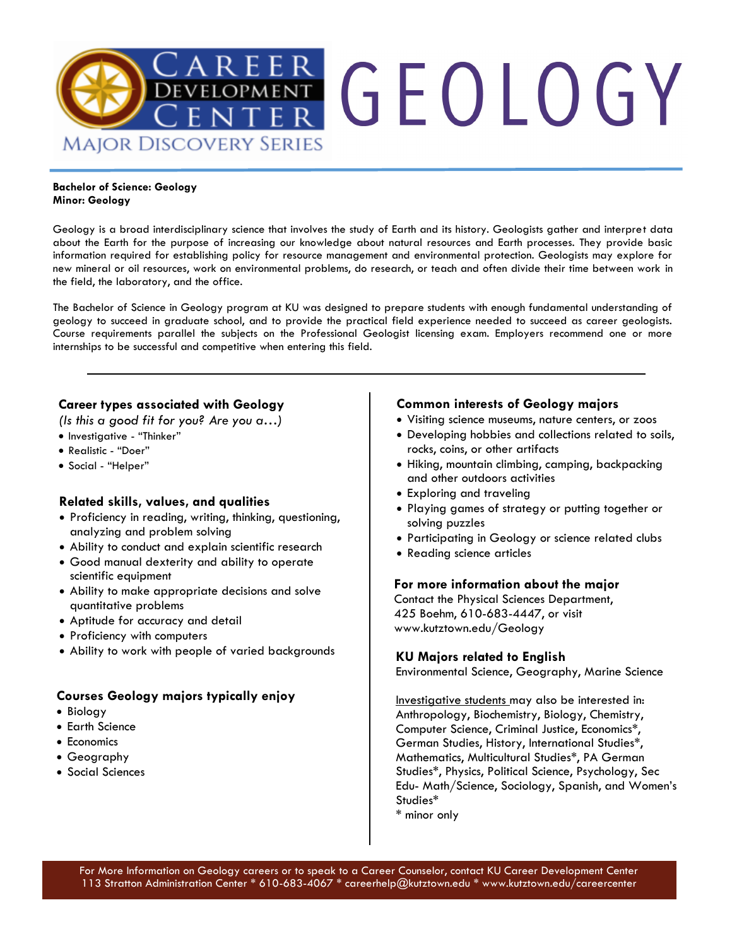

#### **Bachelor of Science: Geology Minor: Geology**

Geology is a broad interdisciplinary science that involves the study of Earth and its history. Geologists gather and interpret data about the Earth for the purpose of increasing our knowledge about natural resources and Earth processes. They provide basic information required for establishing policy for resource management and environmental protection. Geologists may explore for new mineral or oil resources, work on environmental problems, do research, or teach and often divide their time between work in the field, the laboratory, and the office.

The Bachelor of Science in Geology program at KU was designed to prepare students with enough fundamental understanding of geology to succeed in graduate school, and to provide the practical field experience needed to succeed as career geologists. Course requirements parallel the subjects on the Professional Geologist licensing exam. Employers recommend one or more internships to be successful and competitive when entering this field.

### **Career types associated with Geology**

*(Is this a good fit for you? Are you a…)*

- Investigative "Thinker"
- Realistic "Doer"
- Social "Helper"

### **Related skills, values, and qualities**

- Proficiency in reading, writing, thinking, questioning, analyzing and problem solving
- Ability to conduct and explain scientific research
- Good manual dexterity and ability to operate scientific equipment
- Ability to make appropriate decisions and solve quantitative problems
- Aptitude for accuracy and detail
- Proficiency with computers
- Ability to work with people of varied backgrounds

### **Courses Geology majors typically enjoy**

- Biology
- Earth Science
- Economics
- Geography
- Social Sciences

### **Common interests of Geology majors**

- Visiting science museums, nature centers, or zoos
- Developing hobbies and collections related to soils, rocks, coins, or other artifacts
- Hiking, mountain climbing, camping, backpacking and other outdoors activities
- Exploring and traveling
- Playing games of strategy or putting together or solving puzzles
- Participating in Geology or science related clubs
- Reading science articles

### **For more information about the major**

Contact the Physical Sciences Department, 425 Boehm, 610-683-4447, or visit www.kutztown.edu/Geology

### **KU Majors related to English**

Environmental Science, Geography, Marine Science

Investigative students may also be interested in: Anthropology, Biochemistry, Biology, Chemistry, Computer Science, Criminal Justice, Economics\*, German Studies, History, International Studies\*, Mathematics, Multicultural Studies\*, PA German Studies\*, Physics, Political Science, Psychology, Sec Edu- Math/Science, Sociology, Spanish, and Women's Studies\*

\* minor only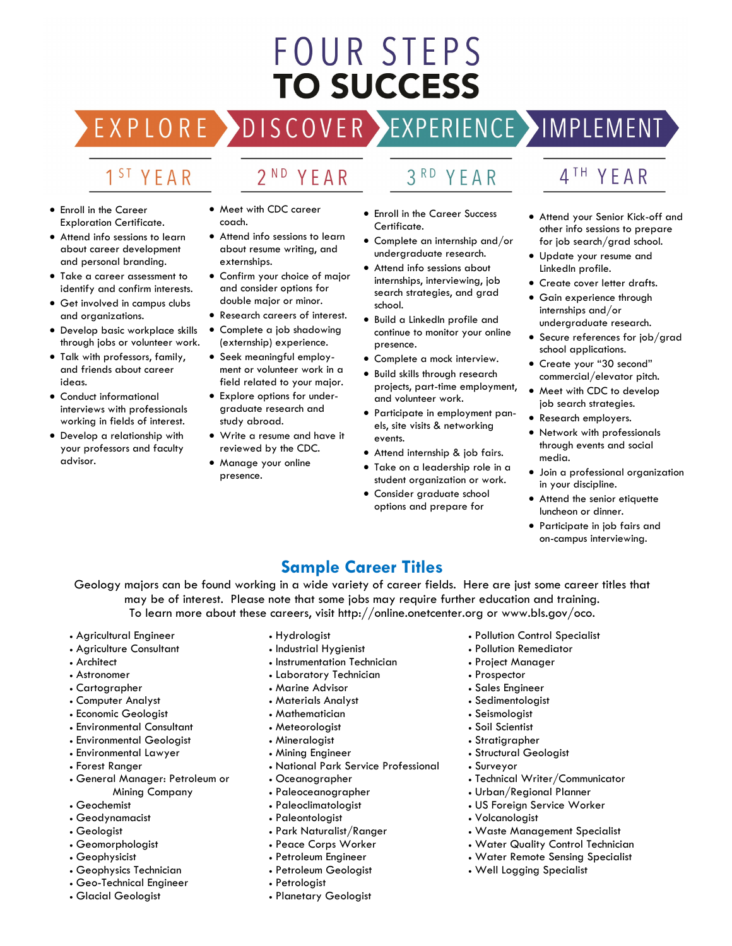# FOUR STEPS **TO SUCCESS**

## DISCOVER EXPERIENCE MOPLEMENT

2<sup>ND</sup> YEAR

## 1<sup>ST</sup> YEAR

EXPLORE >

- Enroll in the Career Exploration Certificate.
- Attend info sessions to learn about career development and personal branding.
- Take a career assessment to identify and confirm interests.
- Get involved in campus clubs and organizations.
- Develop basic workplace skills through jobs or volunteer work.
- Talk with professors, family, and friends about career ideas.
- Conduct informational interviews with professionals working in fields of interest.
- Develop a relationship with your professors and faculty advisor.
- Meet with CDC career coach.
- Attend info sessions to learn about resume writing, and externships.
- Confirm your choice of major and consider options for double major or minor.
- Research careers of interest.
- Complete a job shadowing (externship) experience.
- Seek meaningful employment or volunteer work in a field related to your major.
- Explore options for undergraduate research and study abroad.
- Write a resume and have it reviewed by the CDC.
- Manage your online presence.

## 3RD YEAR

- Enroll in the Career Success Certificate.
- Complete an internship and/or undergraduate research.
- Attend info sessions about internships, interviewing, job search strategies, and grad school.
- Build a LinkedIn profile and continue to monitor your online presence.
- Complete a mock interview.
- Build skills through research projects, part-time employment, and volunteer work.
- Participate in employment panels, site visits & networking events.
- Attend internship & job fairs.
- Take on a leadership role in a student organization or work.
- Consider graduate school options and prepare for

## 4TH YEAR

- Attend your Senior Kick-off and other info sessions to prepare for job search/grad school.
- Update your resume and LinkedIn profile.
- Create cover letter drafts.
- Gain experience through internships and/or undergraduate research.
- Secure references for job/grad school applications.
- Create your "30 second" commercial/elevator pitch.
- Meet with CDC to develop job search strategies.
- Research employers.
- Network with professionals through events and social media.
- Join a professional organization in your discipline.
- Attend the senior etiquette luncheon or dinner.
- Participate in job fairs and on-campus interviewing.

### **Sample Career Titles**

Geology majors can be found working in a wide variety of career fields. Here are just some career titles that may be of interest. Please note that some jobs may require further education and training. To learn more about these careers, visit http://online.onetcenter.org or www.bls.gov/oco.

- Agricultural Engineer
- Agriculture Consultant
- Architect
- Astronomer
- Cartographer
- Computer Analyst
- Economic Geologist
- Environmental Consultant
- Environmental Geologist
- Environmental Lawyer
- Forest Ranger
- General Manager: Petroleum or Mining Company
- Geochemist
- Geodynamacist
- Geologist
- Geomorphologist
- Geophysicist
- Geophysics Technician
- Geo-Technical Engineer
- Glacial Geologist
- Hydrologist
- Industrial Hygienist
- Instrumentation Technician
- Laboratory Technician
- Marine Advisor
- 
- Materials Analyst
- Mathematician • Meteorologist
- 
- Mineralogist
- Mining Engineer
- National Park Service Professional
- Oceanographer
- Paleoceanographer
- Paleoclimatologist
- Paleontologist
- Park Naturalist/Ranger
- Peace Corps Worker
- Petroleum Engineer
- Petroleum Geologist
- Petrologist
- Planetary Geologist
- Pollution Control Specialist
- Pollution Remediator
- Project Manager
- Prospector
- Sales Engineer
- Sedimentologist
- Seismologist
- Soil Scientist
- Stratigrapher

• Volcanologist

• Structural Geologist

• Urban/Regional Planner • US Foreign Service Worker

• Well Logging Specialist

- Surveyor
- Technical Writer/Communicator

• Waste Management Specialist • Water Quality Control Technician • Water Remote Sensing Specialist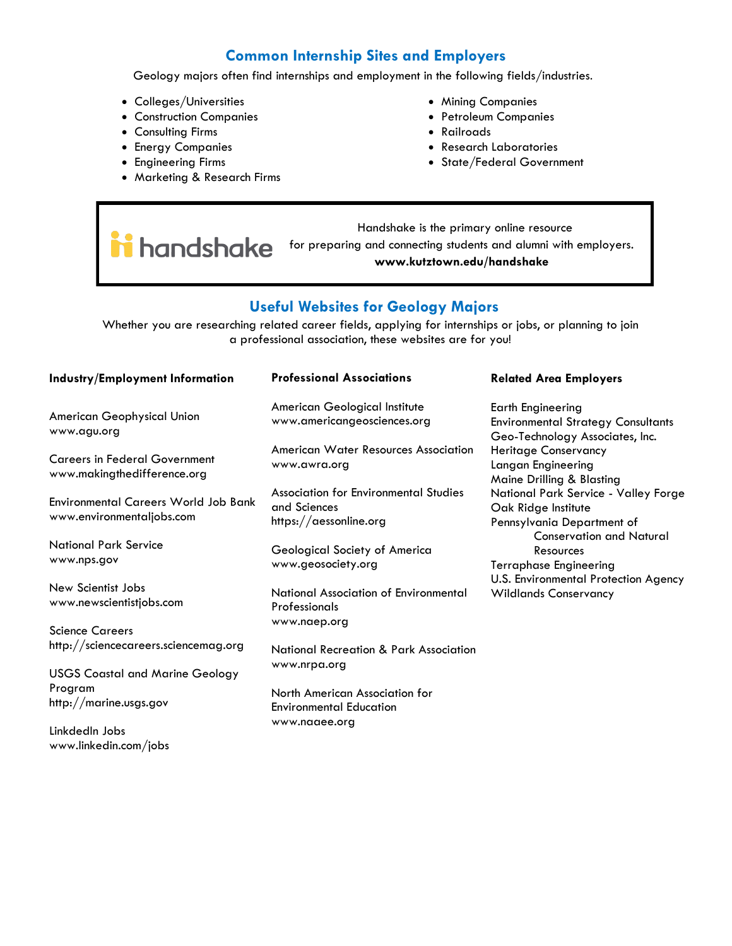### **Common Internship Sites and Employers**

Geology majors often find internships and employment in the following fields/industries.

- Colleges/Universities
- Construction Companies
- Consulting Firms
- Energy Companies
- Engineering Firms
- Marketing & Research Firms
- Mining Companies
- Petroleum Companies
- Railroads
- Research Laboratories
- State/Federal Government

 Handshake is the primary online resource i handshake for preparing and connecting students and alumni with employers. **www.kutztown.edu/handshake**

### **Useful Websites for Geology Majors**

Whether you are researching related career fields, applying for internships or jobs, or planning to join a professional association, these websites are for you!

| <b>Industry/Employment Information</b>                                   | <b>Professional Associations</b>                                                | <b>Related Area Employers</b>                                                                            |
|--------------------------------------------------------------------------|---------------------------------------------------------------------------------|----------------------------------------------------------------------------------------------------------|
| American Geophysical Union<br>www.agu.org                                | American Geological Institute<br>www.americangeosciences.org                    | <b>Earth Engineering</b><br><b>Environmental Strategy Consultants</b><br>Geo-Technology Associates, Inc. |
| <b>Careers in Federal Government</b><br>www.makingthedifference.org      | American Water Resources Association<br>www.awra.org                            | Heritage Conservancy<br>Langan Engineering<br>Maine Drilling & Blasting                                  |
| <b>Environmental Careers World Job Bank</b><br>www.environmentaljobs.com | Association for Environmental Studies<br>and Sciences<br>https://aessonline.org | National Park Service - Valley Forge<br>Oak Ridge Institute<br>Pennsylvania Department of                |
| <b>National Park Service</b><br>www.nps.gov                              | Geological Society of America<br>www.geosociety.org                             | <b>Conservation and Natural</b><br>Resources<br><b>Terraphase Engineering</b>                            |
| New Scientist Jobs<br>www.newscientistjobs.com                           | National Association of Environmental<br>Professionals                          | U.S. Environmental Protection Agency<br><b>Wildlands Conservancy</b>                                     |
| <b>Science Careers</b><br>http://sciencecareers.sciencemag.org           | www.naep.org<br>National Recreation & Park Association                          |                                                                                                          |
| <b>USGS Coastal and Marine Geology</b><br>Program                        | www.nrpa.org<br>North American Association for                                  |                                                                                                          |
| http://marine.usgs.gov<br>LinkdedIn Jobs                                 | <b>Environmental Education</b><br>www.naaee.org                                 |                                                                                                          |

www.linkedin.com/jobs